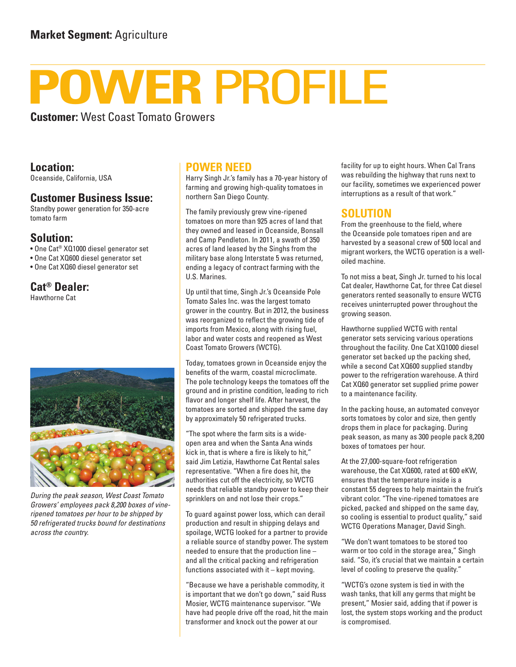# **POWER** PROFILE

**Customer:** West Coast Tomato Growers

**Location:**

Oceanside, California, USA

## **Customer Business Issue:**

Standby power generation for 350-acre tomato farm

#### **Solution:**

• One Cat® XQ1000 diesel generator set

- One Cat XQ600 diesel generator set
- One Cat XQ60 diesel generator set

## **Cat® Dealer:**

Hawthorne Cat



*During the peak season, West Coast Tomato Growers' employees pack 8,200 boxes of vineripened tomatoes per hour to be shipped by 50 refrigerated trucks bound for destinations across the country.*

## **POWER NEED**

Harry Singh Jr.'s family has a 70-year history of farming and growing high-quality tomatoes in northern San Diego County.

The family previously grew vine-ripened tomatoes on more than 925 acres of land that they owned and leased in Oceanside, Bonsall and Camp Pendleton. In 2011, a swath of 350 acres of land leased by the Singhs from the military base along Interstate 5 was returned, ending a legacy of contract farming with the U.S. Marines.

Up until that time, Singh Jr.'s Oceanside Pole Tomato Sales Inc. was the largest tomato grower in the country. But in 2012, the business was reorganized to reflect the growing tide of imports from Mexico, along with rising fuel, labor and water costs and reopened as West Coast Tomato Growers (WCTG).

Today, tomatoes grown in Oceanside enjoy the benefits of the warm, coastal microclimate. The pole technology keeps the tomatoes off the ground and in pristine condition, leading to rich flavor and longer shelf life. After harvest, the tomatoes are sorted and shipped the same day by approximately 50 refrigerated trucks.

"The spot where the farm sits is a wideopen area and when the Santa Ana winds kick in, that is where a fire is likely to hit," said Jim Letizia, Hawthorne Cat Rental sales representative. "When a fire does hit, the authorities cut off the electricity, so WCTG needs that reliable standby power to keep their sprinklers on and not lose their crops."

To guard against power loss, which can derail production and result in shipping delays and spoilage, WCTG looked for a partner to provide a reliable source of standby power. The system needed to ensure that the production line – and all the critical packing and refrigeration functions associated with it – kept moving.

"Because we have a perishable commodity, it is important that we don't go down," said Russ Mosier, WCTG maintenance supervisor. "We have had people drive off the road, hit the main transformer and knock out the power at our

facility for up to eight hours. When Cal Trans was rebuilding the highway that runs next to our facility, sometimes we experienced power interruptions as a result of that work."

#### **SOLUTION**

From the greenhouse to the field, where the Oceanside pole tomatoes ripen and are harvested by a seasonal crew of 500 local and migrant workers, the WCTG operation is a welloiled machine.

To not miss a beat, Singh Jr. turned to his local Cat dealer, Hawthorne Cat, for three Cat diesel generators rented seasonally to ensure WCTG receives uninterrupted power throughout the growing season.

Hawthorne supplied WCTG with rental generator sets servicing various operations throughout the facility. One Cat XQ1000 diesel generator set backed up the packing shed, while a second Cat XQ600 supplied standby power to the refrigeration warehouse. A third Cat XQ60 generator set supplied prime power to a maintenance facility.

In the packing house, an automated conveyor sorts tomatoes by color and size, then gently drops them in place for packaging. During peak season, as many as 300 people pack 8,200 boxes of tomatoes per hour.

At the 27,000-square-foot refrigeration warehouse, the Cat XQ600, rated at 600 eKW, ensures that the temperature inside is a constant 55 degrees to help maintain the fruit's vibrant color. "The vine-ripened tomatoes are picked, packed and shipped on the same day, so cooling is essential to product quality," said WCTG Operations Manager, David Singh.

"We don't want tomatoes to be stored too warm or too cold in the storage area," Singh said. "So, it's crucial that we maintain a certain level of cooling to preserve the quality."

"WCTG's ozone system is tied in with the wash tanks, that kill any germs that might be present," Mosier said, adding that if power is lost, the system stops working and the product is compromised.